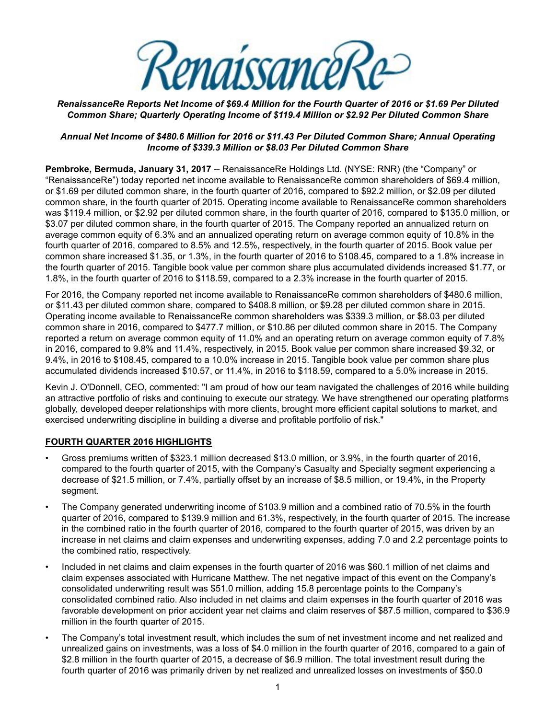<u>enaissanceRe</u>

#### *RenaissanceRe Reports Net Income of \$69.4 Million for the Fourth Quarter of 2016 or \$1.69 Per Diluted Common Share; Quarterly Operating Income of \$119.4 Million or \$2.92 Per Diluted Common Share*

#### *Annual Net Income of \$480.6 Million for 2016 or \$11.43 Per Diluted Common Share; Annual Operating Income of \$339.3 Million or \$8.03 Per Diluted Common Share*

**Pembroke, Bermuda, January 31, 2017** -- RenaissanceRe Holdings Ltd. (NYSE: RNR) (the "Company" or "RenaissanceRe") today reported net income available to RenaissanceRe common shareholders of \$69.4 million, or \$1.69 per diluted common share, in the fourth quarter of 2016, compared to \$92.2 million, or \$2.09 per diluted common share, in the fourth quarter of 2015. Operating income available to RenaissanceRe common shareholders was \$119.4 million, or \$2.92 per diluted common share, in the fourth quarter of 2016, compared to \$135.0 million, or \$3.07 per diluted common share, in the fourth quarter of 2015. The Company reported an annualized return on average common equity of 6.3% and an annualized operating return on average common equity of 10.8% in the fourth quarter of 2016, compared to 8.5% and 12.5%, respectively, in the fourth quarter of 2015. Book value per common share increased \$1.35, or 1.3%, in the fourth quarter of 2016 to \$108.45, compared to a 1.8% increase in the fourth quarter of 2015. Tangible book value per common share plus accumulated dividends increased \$1.77, or 1.8%, in the fourth quarter of 2016 to \$118.59, compared to a 2.3% increase in the fourth quarter of 2015.

For 2016, the Company reported net income available to RenaissanceRe common shareholders of \$480.6 million, or \$11.43 per diluted common share, compared to \$408.8 million, or \$9.28 per diluted common share in 2015. Operating income available to RenaissanceRe common shareholders was \$339.3 million, or \$8.03 per diluted common share in 2016, compared to \$477.7 million, or \$10.86 per diluted common share in 2015. The Company reported a return on average common equity of 11.0% and an operating return on average common equity of 7.8% in 2016, compared to 9.8% and 11.4%, respectively, in 2015. Book value per common share increased \$9.32, or 9.4%, in 2016 to \$108.45, compared to a 10.0% increase in 2015. Tangible book value per common share plus accumulated dividends increased \$10.57, or 11.4%, in 2016 to \$118.59, compared to a 5.0% increase in 2015.

Kevin J. O'Donnell, CEO, commented: "I am proud of how our team navigated the challenges of 2016 while building an attractive portfolio of risks and continuing to execute our strategy. We have strengthened our operating platforms globally, developed deeper relationships with more clients, brought more efficient capital solutions to market, and exercised underwriting discipline in building a diverse and profitable portfolio of risk."

### **FOURTH QUARTER 2016 HIGHLIGHTS**

- Gross premiums written of \$323.1 million decreased \$13.0 million, or 3.9%, in the fourth quarter of 2016, compared to the fourth quarter of 2015, with the Company's Casualty and Specialty segment experiencing a decrease of \$21.5 million, or 7.4%, partially offset by an increase of \$8.5 million, or 19.4%, in the Property segment.
- The Company generated underwriting income of \$103.9 million and a combined ratio of 70.5% in the fourth quarter of 2016, compared to \$139.9 million and 61.3%, respectively, in the fourth quarter of 2015. The increase in the combined ratio in the fourth quarter of 2016, compared to the fourth quarter of 2015, was driven by an increase in net claims and claim expenses and underwriting expenses, adding 7.0 and 2.2 percentage points to the combined ratio, respectively.
- Included in net claims and claim expenses in the fourth quarter of 2016 was \$60.1 million of net claims and claim expenses associated with Hurricane Matthew. The net negative impact of this event on the Company's consolidated underwriting result was \$51.0 million, adding 15.8 percentage points to the Company's consolidated combined ratio. Also included in net claims and claim expenses in the fourth quarter of 2016 was favorable development on prior accident year net claims and claim reserves of \$87.5 million, compared to \$36.9 million in the fourth quarter of 2015.
- The Company's total investment result, which includes the sum of net investment income and net realized and unrealized gains on investments, was a loss of \$4.0 million in the fourth quarter of 2016, compared to a gain of \$2.8 million in the fourth quarter of 2015, a decrease of \$6.9 million. The total investment result during the fourth quarter of 2016 was primarily driven by net realized and unrealized losses on investments of \$50.0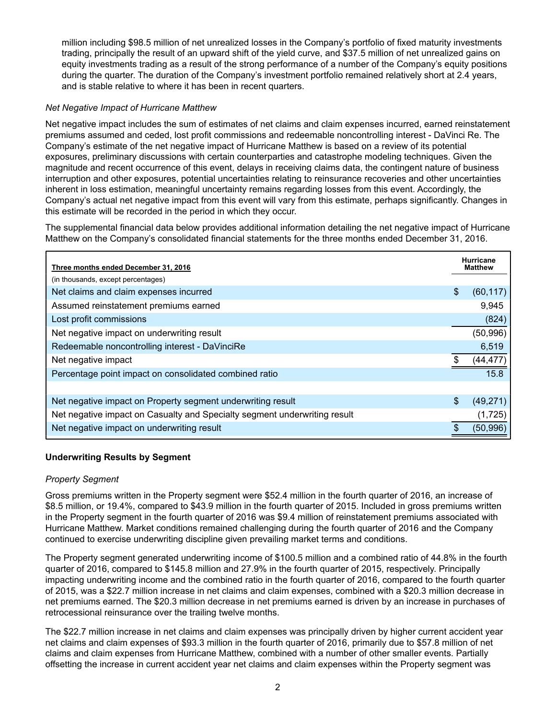million including \$98.5 million of net unrealized losses in the Company's portfolio of fixed maturity investments trading, principally the result of an upward shift of the yield curve, and \$37.5 million of net unrealized gains on equity investments trading as a result of the strong performance of a number of the Company's equity positions during the quarter. The duration of the Company's investment portfolio remained relatively short at 2.4 years, and is stable relative to where it has been in recent quarters.

#### *Net Negative Impact of Hurricane Matthew*

Net negative impact includes the sum of estimates of net claims and claim expenses incurred, earned reinstatement premiums assumed and ceded, lost profit commissions and redeemable noncontrolling interest - DaVinci Re. The Company's estimate of the net negative impact of Hurricane Matthew is based on a review of its potential exposures, preliminary discussions with certain counterparties and catastrophe modeling techniques. Given the magnitude and recent occurrence of this event, delays in receiving claims data, the contingent nature of business interruption and other exposures, potential uncertainties relating to reinsurance recoveries and other uncertainties inherent in loss estimation, meaningful uncertainty remains regarding losses from this event. Accordingly, the Company's actual net negative impact from this event will vary from this estimate, perhaps significantly. Changes in this estimate will be recorded in the period in which they occur.

The supplemental financial data below provides additional information detailing the net negative impact of Hurricane Matthew on the Company's consolidated financial statements for the three months ended December 31, 2016.

| Three months ended December 31, 2016                                      | <b>Hurricane</b><br><b>Matthew</b> |
|---------------------------------------------------------------------------|------------------------------------|
| (in thousands, except percentages)                                        |                                    |
| Net claims and claim expenses incurred                                    | \$<br>(60, 117)                    |
| Assumed reinstatement premiums earned                                     | 9,945                              |
| Lost profit commissions                                                   | (824)                              |
| Net negative impact on underwriting result                                | (50, 996)                          |
| Redeemable noncontrolling interest - DaVinciRe                            | 6,519                              |
| Net negative impact                                                       | (44, 477)                          |
| Percentage point impact on consolidated combined ratio                    | 15.8                               |
|                                                                           |                                    |
| Net negative impact on Property segment underwriting result               | \$<br>(49, 271)                    |
| Net negative impact on Casualty and Specialty segment underwriting result | (1,725)                            |
| Net negative impact on underwriting result                                | (50, 996)                          |

#### **Underwriting Results by Segment**

#### *Property Segment*

Gross premiums written in the Property segment were \$52.4 million in the fourth quarter of 2016, an increase of \$8.5 million, or 19.4%, compared to \$43.9 million in the fourth quarter of 2015. Included in gross premiums written in the Property segment in the fourth quarter of 2016 was \$9.4 million of reinstatement premiums associated with Hurricane Matthew. Market conditions remained challenging during the fourth quarter of 2016 and the Company continued to exercise underwriting discipline given prevailing market terms and conditions.

The Property segment generated underwriting income of \$100.5 million and a combined ratio of 44.8% in the fourth quarter of 2016, compared to \$145.8 million and 27.9% in the fourth quarter of 2015, respectively. Principally impacting underwriting income and the combined ratio in the fourth quarter of 2016, compared to the fourth quarter of 2015, was a \$22.7 million increase in net claims and claim expenses, combined with a \$20.3 million decrease in net premiums earned. The \$20.3 million decrease in net premiums earned is driven by an increase in purchases of retrocessional reinsurance over the trailing twelve months.

The \$22.7 million increase in net claims and claim expenses was principally driven by higher current accident year net claims and claim expenses of \$93.3 million in the fourth quarter of 2016, primarily due to \$57.8 million of net claims and claim expenses from Hurricane Matthew, combined with a number of other smaller events. Partially offsetting the increase in current accident year net claims and claim expenses within the Property segment was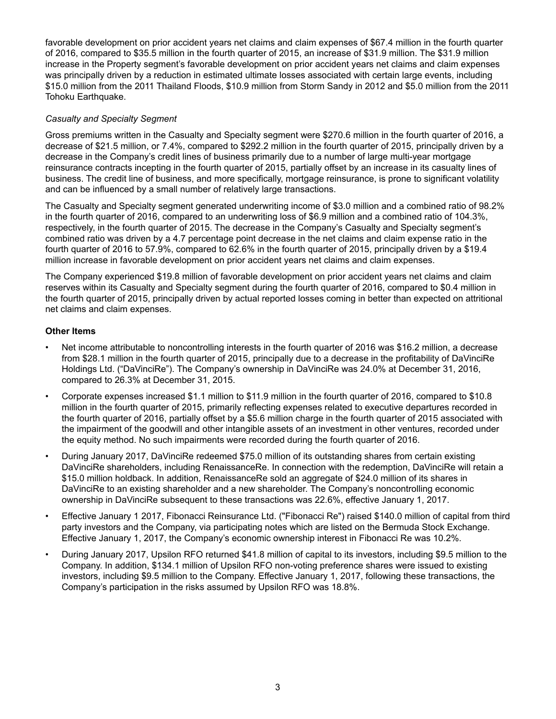favorable development on prior accident years net claims and claim expenses of \$67.4 million in the fourth quarter of 2016, compared to \$35.5 million in the fourth quarter of 2015, an increase of \$31.9 million. The \$31.9 million increase in the Property segment's favorable development on prior accident years net claims and claim expenses was principally driven by a reduction in estimated ultimate losses associated with certain large events, including \$15.0 million from the 2011 Thailand Floods, \$10.9 million from Storm Sandy in 2012 and \$5.0 million from the 2011 Tohoku Earthquake.

#### *Casualty and Specialty Segment*

Gross premiums written in the Casualty and Specialty segment were \$270.6 million in the fourth quarter of 2016, a decrease of \$21.5 million, or 7.4%, compared to \$292.2 million in the fourth quarter of 2015, principally driven by a decrease in the Company's credit lines of business primarily due to a number of large multi-year mortgage reinsurance contracts incepting in the fourth quarter of 2015, partially offset by an increase in its casualty lines of business. The credit line of business, and more specifically, mortgage reinsurance, is prone to significant volatility and can be influenced by a small number of relatively large transactions.

The Casualty and Specialty segment generated underwriting income of \$3.0 million and a combined ratio of 98.2% in the fourth quarter of 2016, compared to an underwriting loss of \$6.9 million and a combined ratio of 104.3%, respectively, in the fourth quarter of 2015. The decrease in the Company's Casualty and Specialty segment's combined ratio was driven by a 4.7 percentage point decrease in the net claims and claim expense ratio in the fourth quarter of 2016 to 57.9%, compared to 62.6% in the fourth quarter of 2015, principally driven by a \$19.4 million increase in favorable development on prior accident years net claims and claim expenses.

The Company experienced \$19.8 million of favorable development on prior accident years net claims and claim reserves within its Casualty and Specialty segment during the fourth quarter of 2016, compared to \$0.4 million in the fourth quarter of 2015, principally driven by actual reported losses coming in better than expected on attritional net claims and claim expenses.

#### **Other Items**

- Net income attributable to noncontrolling interests in the fourth quarter of 2016 was \$16.2 million, a decrease from \$28.1 million in the fourth quarter of 2015, principally due to a decrease in the profitability of DaVinciRe Holdings Ltd. ("DaVinciRe"). The Company's ownership in DaVinciRe was 24.0% at December 31, 2016, compared to 26.3% at December 31, 2015.
- Corporate expenses increased \$1.1 million to \$11.9 million in the fourth quarter of 2016, compared to \$10.8 million in the fourth quarter of 2015, primarily reflecting expenses related to executive departures recorded in the fourth quarter of 2016, partially offset by a \$5.6 million charge in the fourth quarter of 2015 associated with the impairment of the goodwill and other intangible assets of an investment in other ventures, recorded under the equity method. No such impairments were recorded during the fourth quarter of 2016.
- During January 2017, DaVinciRe redeemed \$75.0 million of its outstanding shares from certain existing DaVinciRe shareholders, including RenaissanceRe. In connection with the redemption, DaVinciRe will retain a \$15.0 million holdback. In addition, RenaissanceRe sold an aggregate of \$24.0 million of its shares in DaVinciRe to an existing shareholder and a new shareholder. The Company's noncontrolling economic ownership in DaVinciRe subsequent to these transactions was 22.6%, effective January 1, 2017.
- Effective January 1 2017, Fibonacci Reinsurance Ltd. ("Fibonacci Re") raised \$140.0 million of capital from third party investors and the Company, via participating notes which are listed on the Bermuda Stock Exchange. Effective January 1, 2017, the Company's economic ownership interest in Fibonacci Re was 10.2%.
- During January 2017, Upsilon RFO returned \$41.8 million of capital to its investors, including \$9.5 million to the Company. In addition, \$134.1 million of Upsilon RFO non-voting preference shares were issued to existing investors, including \$9.5 million to the Company. Effective January 1, 2017, following these transactions, the Company's participation in the risks assumed by Upsilon RFO was 18.8%.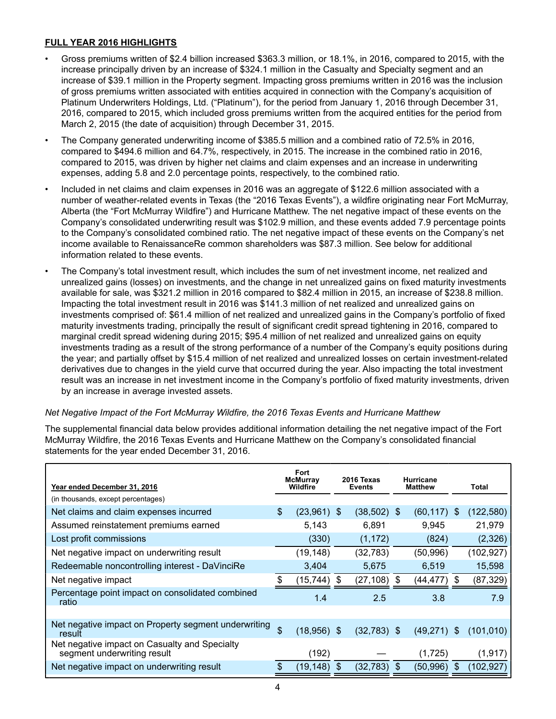### **FULL YEAR 2016 HIGHLIGHTS**

- Gross premiums written of \$2.4 billion increased \$363.3 million, or 18.1%, in 2016, compared to 2015, with the increase principally driven by an increase of \$324.1 million in the Casualty and Specialty segment and an increase of \$39.1 million in the Property segment. Impacting gross premiums written in 2016 was the inclusion of gross premiums written associated with entities acquired in connection with the Company's acquisition of Platinum Underwriters Holdings, Ltd. ("Platinum"), for the period from January 1, 2016 through December 31, 2016, compared to 2015, which included gross premiums written from the acquired entities for the period from March 2, 2015 (the date of acquisition) through December 31, 2015.
- The Company generated underwriting income of \$385.5 million and a combined ratio of 72.5% in 2016, compared to \$494.6 million and 64.7%, respectively, in 2015. The increase in the combined ratio in 2016, compared to 2015, was driven by higher net claims and claim expenses and an increase in underwriting expenses, adding 5.8 and 2.0 percentage points, respectively, to the combined ratio.
- Included in net claims and claim expenses in 2016 was an aggregate of \$122.6 million associated with a number of weather-related events in Texas (the "2016 Texas Events"), a wildfire originating near Fort McMurray, Alberta (the "Fort McMurray Wildfire") and Hurricane Matthew. The net negative impact of these events on the Company's consolidated underwriting result was \$102.9 million, and these events added 7.9 percentage points to the Company's consolidated combined ratio. The net negative impact of these events on the Company's net income available to RenaissanceRe common shareholders was \$87.3 million. See below for additional information related to these events.
- The Company's total investment result, which includes the sum of net investment income, net realized and unrealized gains (losses) on investments, and the change in net unrealized gains on fixed maturity investments available for sale, was \$321.2 million in 2016 compared to \$82.4 million in 2015, an increase of \$238.8 million. Impacting the total investment result in 2016 was \$141.3 million of net realized and unrealized gains on investments comprised of: \$61.4 million of net realized and unrealized gains in the Company's portfolio of fixed maturity investments trading, principally the result of significant credit spread tightening in 2016, compared to marginal credit spread widening during 2015; \$95.4 million of net realized and unrealized gains on equity investments trading as a result of the strong performance of a number of the Company's equity positions during the year; and partially offset by \$15.4 million of net realized and unrealized losses on certain investment-related derivatives due to changes in the yield curve that occurred during the year. Also impacting the total investment result was an increase in net investment income in the Company's portfolio of fixed maturity investments, driven by an increase in average invested assets.

#### *Net Negative Impact of the Fort McMurray Wildfire, the 2016 Texas Events and Hurricane Matthew*

The supplemental financial data below provides additional information detailing the net negative impact of the Fort McMurray Wildfire, the 2016 Texas Events and Hurricane Matthew on the Company's consolidated financial statements for the year ended December 31, 2016.

| Year ended December 31, 2016                                                 | Fort<br><b>McMurray</b><br>Wildfire |    | 2016 Texas<br><b>Events</b> |    | <b>Hurricane</b><br><b>Matthew</b> |    | Total      |
|------------------------------------------------------------------------------|-------------------------------------|----|-----------------------------|----|------------------------------------|----|------------|
| (in thousands, except percentages)                                           |                                     |    |                             |    |                                    |    |            |
| Net claims and claim expenses incurred                                       | \$<br>$(23,961)$ \$                 |    | $(38,502)$ \$               |    | (60, 117)                          | £. | (122, 580) |
| Assumed reinstatement premiums earned                                        | 5,143                               |    | 6.891                       |    | 9,945                              |    | 21,979     |
| Lost profit commissions                                                      | (330)                               |    | (1, 172)                    |    | (824)                              |    | (2, 326)   |
| Net negative impact on underwriting result                                   | (19, 148)                           |    | (32, 783)                   |    | (50, 996)                          |    | (102, 927) |
| Redeemable noncontrolling interest - DaVinciRe                               | 3,404                               |    | 5.675                       |    | 6.519                              |    | 15,598     |
| Net negative impact                                                          | (15, 744)                           | S  | (27, 108)                   | -S | (44,477)                           | S  | (87, 329)  |
| Percentage point impact on consolidated combined<br>ratio                    | 1.4                                 |    | 2.5                         |    | 3.8                                |    | 7.9        |
|                                                                              |                                     |    |                             |    |                                    |    |            |
| Net negative impact on Property segment underwriting<br>result               | \$<br>$(18,956)$ \$                 |    | $(32,783)$ \$               |    | (49,271)                           | \$ | (101, 010) |
| Net negative impact on Casualty and Specialty<br>segment underwriting result | (192)                               |    |                             |    | (1,725)                            |    | (1, 917)   |
| Net negative impact on underwriting result                                   | (19,148)                            | \$ | (32, 783)                   | \$ | (50,996)                           | \$ | (102, 927) |
|                                                                              |                                     |    |                             |    |                                    |    |            |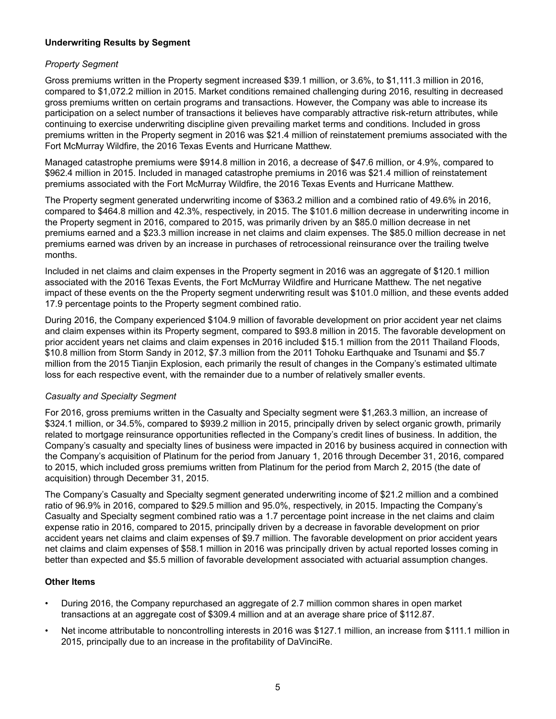#### **Underwriting Results by Segment**

#### *Property Segment*

Gross premiums written in the Property segment increased \$39.1 million, or 3.6%, to \$1,111.3 million in 2016, compared to \$1,072.2 million in 2015. Market conditions remained challenging during 2016, resulting in decreased gross premiums written on certain programs and transactions. However, the Company was able to increase its participation on a select number of transactions it believes have comparably attractive risk-return attributes, while continuing to exercise underwriting discipline given prevailing market terms and conditions. Included in gross premiums written in the Property segment in 2016 was \$21.4 million of reinstatement premiums associated with the Fort McMurray Wildfire, the 2016 Texas Events and Hurricane Matthew.

Managed catastrophe premiums were \$914.8 million in 2016, a decrease of \$47.6 million, or 4.9%, compared to \$962.4 million in 2015. Included in managed catastrophe premiums in 2016 was \$21.4 million of reinstatement premiums associated with the Fort McMurray Wildfire, the 2016 Texas Events and Hurricane Matthew.

The Property segment generated underwriting income of \$363.2 million and a combined ratio of 49.6% in 2016, compared to \$464.8 million and 42.3%, respectively, in 2015. The \$101.6 million decrease in underwriting income in the Property segment in 2016, compared to 2015, was primarily driven by an \$85.0 million decrease in net premiums earned and a \$23.3 million increase in net claims and claim expenses. The \$85.0 million decrease in net premiums earned was driven by an increase in purchases of retrocessional reinsurance over the trailing twelve months.

Included in net claims and claim expenses in the Property segment in 2016 was an aggregate of \$120.1 million associated with the 2016 Texas Events, the Fort McMurray Wildfire and Hurricane Matthew. The net negative impact of these events on the the Property segment underwriting result was \$101.0 million, and these events added 17.9 percentage points to the Property segment combined ratio.

During 2016, the Company experienced \$104.9 million of favorable development on prior accident year net claims and claim expenses within its Property segment, compared to \$93.8 million in 2015. The favorable development on prior accident years net claims and claim expenses in 2016 included \$15.1 million from the 2011 Thailand Floods, \$10.8 million from Storm Sandy in 2012, \$7.3 million from the 2011 Tohoku Earthquake and Tsunami and \$5.7 million from the 2015 Tianjin Explosion, each primarily the result of changes in the Company's estimated ultimate loss for each respective event, with the remainder due to a number of relatively smaller events.

#### *Casualty and Specialty Segment*

For 2016, gross premiums written in the Casualty and Specialty segment were \$1,263.3 million, an increase of \$324.1 million, or 34.5%, compared to \$939.2 million in 2015, principally driven by select organic growth, primarily related to mortgage reinsurance opportunities reflected in the Company's credit lines of business. In addition, the Company's casualty and specialty lines of business were impacted in 2016 by business acquired in connection with the Company's acquisition of Platinum for the period from January 1, 2016 through December 31, 2016, compared to 2015, which included gross premiums written from Platinum for the period from March 2, 2015 (the date of acquisition) through December 31, 2015.

The Company's Casualty and Specialty segment generated underwriting income of \$21.2 million and a combined ratio of 96.9% in 2016, compared to \$29.5 million and 95.0%, respectively, in 2015. Impacting the Company's Casualty and Specialty segment combined ratio was a 1.7 percentage point increase in the net claims and claim expense ratio in 2016, compared to 2015, principally driven by a decrease in favorable development on prior accident years net claims and claim expenses of \$9.7 million. The favorable development on prior accident years net claims and claim expenses of \$58.1 million in 2016 was principally driven by actual reported losses coming in better than expected and \$5.5 million of favorable development associated with actuarial assumption changes.

### **Other Items**

- During 2016, the Company repurchased an aggregate of 2.7 million common shares in open market transactions at an aggregate cost of \$309.4 million and at an average share price of \$112.87.
- Net income attributable to noncontrolling interests in 2016 was \$127.1 million, an increase from \$111.1 million in 2015, principally due to an increase in the profitability of DaVinciRe.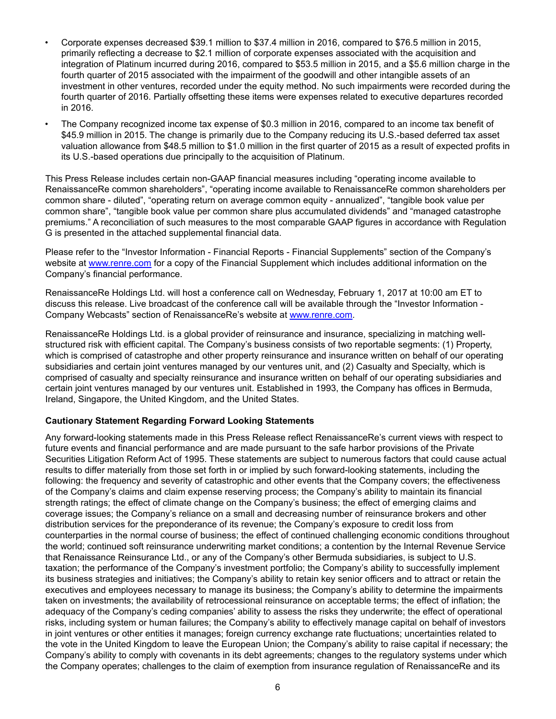- Corporate expenses decreased \$39.1 million to \$37.4 million in 2016, compared to \$76.5 million in 2015, primarily reflecting a decrease to \$2.1 million of corporate expenses associated with the acquisition and integration of Platinum incurred during 2016, compared to \$53.5 million in 2015, and a \$5.6 million charge in the fourth quarter of 2015 associated with the impairment of the goodwill and other intangible assets of an investment in other ventures, recorded under the equity method. No such impairments were recorded during the fourth quarter of 2016. Partially offsetting these items were expenses related to executive departures recorded in 2016.
- The Company recognized income tax expense of \$0.3 million in 2016, compared to an income tax benefit of \$45.9 million in 2015. The change is primarily due to the Company reducing its U.S.-based deferred tax asset valuation allowance from \$48.5 million to \$1.0 million in the first quarter of 2015 as a result of expected profits in its U.S.-based operations due principally to the acquisition of Platinum.

This Press Release includes certain non-GAAP financial measures including "operating income available to RenaissanceRe common shareholders", "operating income available to RenaissanceRe common shareholders per common share - diluted", "operating return on average common equity - annualized", "tangible book value per common share", "tangible book value per common share plus accumulated dividends" and "managed catastrophe premiums." A reconciliation of such measures to the most comparable GAAP figures in accordance with Regulation G is presented in the attached supplemental financial data.

Please refer to the "Investor Information - Financial Reports - Financial Supplements" section of the Company's website at www.renre.com for a copy of the Financial Supplement which includes additional information on the Company's financial performance.

RenaissanceRe Holdings Ltd. will host a conference call on Wednesday, February 1, 2017 at 10:00 am ET to discuss this release. Live broadcast of the conference call will be available through the "Investor Information - Company Webcasts" section of RenaissanceRe's website at www.renre.com.

RenaissanceRe Holdings Ltd. is a global provider of reinsurance and insurance, specializing in matching wellstructured risk with efficient capital. The Company's business consists of two reportable segments: (1) Property, which is comprised of catastrophe and other property reinsurance and insurance written on behalf of our operating subsidiaries and certain joint ventures managed by our ventures unit, and (2) Casualty and Specialty, which is comprised of casualty and specialty reinsurance and insurance written on behalf of our operating subsidiaries and certain joint ventures managed by our ventures unit. Established in 1993, the Company has offices in Bermuda, Ireland, Singapore, the United Kingdom, and the United States.

#### **Cautionary Statement Regarding Forward Looking Statements**

Any forward-looking statements made in this Press Release reflect RenaissanceRe's current views with respect to future events and financial performance and are made pursuant to the safe harbor provisions of the Private Securities Litigation Reform Act of 1995. These statements are subject to numerous factors that could cause actual results to differ materially from those set forth in or implied by such forward-looking statements, including the following: the frequency and severity of catastrophic and other events that the Company covers; the effectiveness of the Company's claims and claim expense reserving process; the Company's ability to maintain its financial strength ratings; the effect of climate change on the Company's business; the effect of emerging claims and coverage issues; the Company's reliance on a small and decreasing number of reinsurance brokers and other distribution services for the preponderance of its revenue; the Company's exposure to credit loss from counterparties in the normal course of business; the effect of continued challenging economic conditions throughout the world; continued soft reinsurance underwriting market conditions; a contention by the Internal Revenue Service that Renaissance Reinsurance Ltd., or any of the Company's other Bermuda subsidiaries, is subject to U.S. taxation; the performance of the Company's investment portfolio; the Company's ability to successfully implement its business strategies and initiatives; the Company's ability to retain key senior officers and to attract or retain the executives and employees necessary to manage its business; the Company's ability to determine the impairments taken on investments; the availability of retrocessional reinsurance on acceptable terms; the effect of inflation; the adequacy of the Company's ceding companies' ability to assess the risks they underwrite; the effect of operational risks, including system or human failures; the Company's ability to effectively manage capital on behalf of investors in joint ventures or other entities it manages; foreign currency exchange rate fluctuations; uncertainties related to the vote in the United Kingdom to leave the European Union; the Company's ability to raise capital if necessary; the Company's ability to comply with covenants in its debt agreements; changes to the regulatory systems under which the Company operates; challenges to the claim of exemption from insurance regulation of RenaissanceRe and its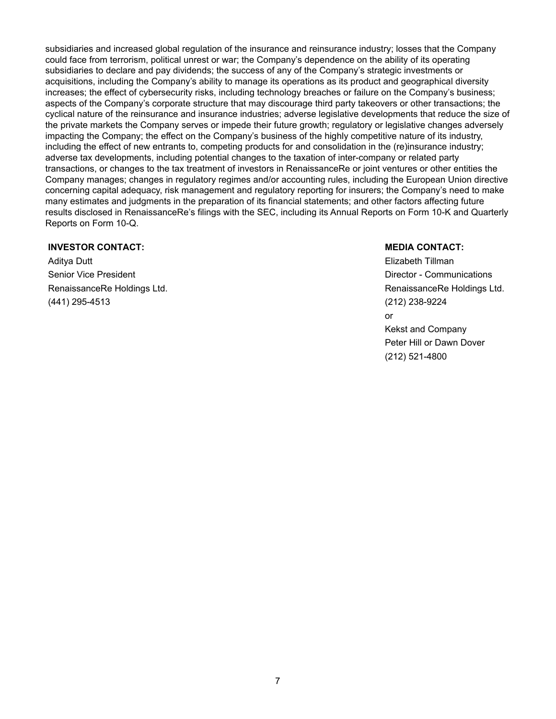subsidiaries and increased global regulation of the insurance and reinsurance industry; losses that the Company could face from terrorism, political unrest or war; the Company's dependence on the ability of its operating subsidiaries to declare and pay dividends; the success of any of the Company's strategic investments or acquisitions, including the Company's ability to manage its operations as its product and geographical diversity increases; the effect of cybersecurity risks, including technology breaches or failure on the Company's business; aspects of the Company's corporate structure that may discourage third party takeovers or other transactions; the cyclical nature of the reinsurance and insurance industries; adverse legislative developments that reduce the size of the private markets the Company serves or impede their future growth; regulatory or legislative changes adversely impacting the Company; the effect on the Company's business of the highly competitive nature of its industry, including the effect of new entrants to, competing products for and consolidation in the (re)insurance industry; adverse tax developments, including potential changes to the taxation of inter-company or related party transactions, or changes to the tax treatment of investors in RenaissanceRe or joint ventures or other entities the Company manages; changes in regulatory regimes and/or accounting rules, including the European Union directive concerning capital adequacy, risk management and regulatory reporting for insurers; the Company's need to make many estimates and judgments in the preparation of its financial statements; and other factors affecting future results disclosed in RenaissanceRe's filings with the SEC, including its Annual Reports on Form 10-K and Quarterly Reports on Form 10-Q.

#### **INVESTOR CONTACT: MEDIA CONTACT:**

Aditya Dutt Elizabeth Tillman Senior Vice President **Director - Communications Director - Communications** RenaissanceRe Holdings Ltd. **RenaissanceRe Holdings Ltd.** RenaissanceRe Holdings Ltd. (441) 295-4513 (212) 238-9224

or Kekst and Company Peter Hill or Dawn Dover (212) 521-4800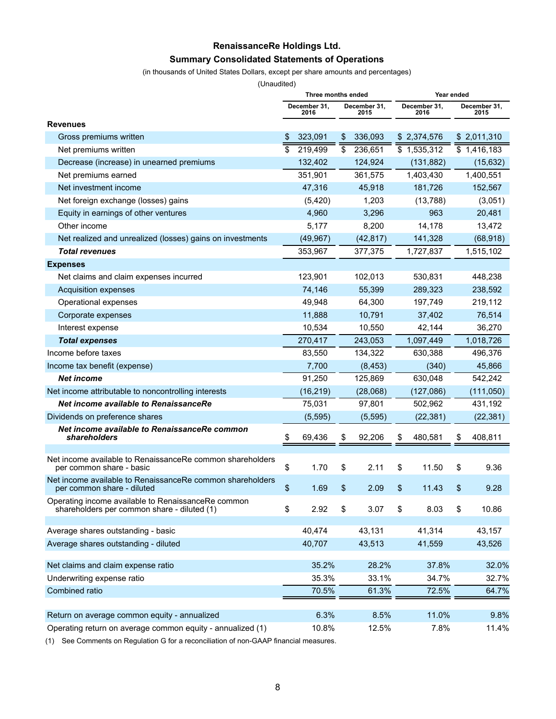## **RenaissanceRe Holdings Ltd. Summary Consolidated Statements of Operations**

(in thousands of United States Dollars, except per share amounts and percentages)

(Unaudited)

|                                                                                                   | Three months ended   |                      | Year ended |                      |    |                          |  |  |
|---------------------------------------------------------------------------------------------------|----------------------|----------------------|------------|----------------------|----|--------------------------|--|--|
|                                                                                                   | December 31,<br>2016 | December 31,<br>2015 |            | December 31,<br>2016 |    | December 31.<br>2015     |  |  |
| <b>Revenues</b>                                                                                   |                      |                      |            |                      |    |                          |  |  |
| Gross premiums written                                                                            | \$<br>323,091        | \$<br>336,093        |            | \$2,374,576          |    | \$2,011,310              |  |  |
| Net premiums written                                                                              | \$<br>219,499        | \$<br>236,651        |            | \$1,535,312          |    | $\overline{3}$ 1,416,183 |  |  |
| Decrease (increase) in unearned premiums                                                          | 132,402              | 124,924              |            | (131, 882)           |    | (15, 632)                |  |  |
| Net premiums earned                                                                               | 351,901              | 361,575              |            | 1,403,430            |    | 1,400,551                |  |  |
| Net investment income                                                                             | 47,316               | 45,918               |            | 181,726              |    | 152,567                  |  |  |
| Net foreign exchange (losses) gains                                                               | (5,420)              | 1,203                |            | (13,788)             |    | (3,051)                  |  |  |
| Equity in earnings of other ventures                                                              | 4,960                | 3,296                |            | 963                  |    | 20,481                   |  |  |
| Other income                                                                                      | 5,177                | 8,200                |            | 14,178               |    | 13,472                   |  |  |
| Net realized and unrealized (losses) gains on investments                                         | (49, 967)            | (42, 817)            |            | 141,328              |    | (68, 918)                |  |  |
| <b>Total revenues</b>                                                                             | 353,967              | 377,375              |            | 1,727,837            |    | 1,515,102                |  |  |
| <b>Expenses</b>                                                                                   |                      |                      |            |                      |    |                          |  |  |
| Net claims and claim expenses incurred                                                            | 123,901              | 102,013              |            | 530,831              |    | 448,238                  |  |  |
| Acquisition expenses                                                                              | 74,146               | 55,399               |            | 289,323              |    | 238,592                  |  |  |
| Operational expenses                                                                              | 49.948               | 64,300               |            | 197,749              |    | 219,112                  |  |  |
| Corporate expenses                                                                                | 11,888               | 10,791               |            | 37,402               |    | 76,514                   |  |  |
| Interest expense                                                                                  | 10,534               | 10,550               |            | 42.144               |    | 36,270                   |  |  |
| <b>Total expenses</b>                                                                             | 270,417              | 243,053              |            | 1,097,449            |    | 1,018,726                |  |  |
| Income before taxes                                                                               | 83,550               | 134,322              |            | 630,388              |    | 496,376                  |  |  |
| Income tax benefit (expense)                                                                      | 7,700                | (8, 453)             |            | (340)                |    | 45,866                   |  |  |
| <b>Net income</b>                                                                                 | 91,250               | 125,869              |            | 630,048              |    | 542,242                  |  |  |
| Net income attributable to noncontrolling interests                                               | (16, 219)            | (28,068)             |            | (127,086)            |    | (111,050)                |  |  |
| <b>Net income available to RenaissanceRe</b>                                                      | 75,031               | 97,801               |            | 502,962              |    | 431,192                  |  |  |
| Dividends on preference shares                                                                    | (5, 595)             | (5, 595)             |            | (22, 381)            |    | (22, 381)                |  |  |
| Net income available to RenaissanceRe common<br>shareholders                                      | \$<br>69,436         | \$<br>92,206         | \$         | 480,581              | \$ | 408,811                  |  |  |
|                                                                                                   |                      |                      |            |                      |    |                          |  |  |
| Net income available to RenaissanceRe common shareholders<br>per common share - basic             | \$<br>1.70           | \$<br>2.11           | \$         | 11.50                | \$ | 9.36                     |  |  |
| Net income available to RenaissanceRe common shareholders<br>per common share - diluted           | \$<br>1.69           | \$<br>2.09           | \$         | 11.43                | \$ | 9.28                     |  |  |
| Operating income available to RenaissanceRe common<br>shareholders per common share - diluted (1) | \$<br>2.92           | \$<br>3.07           | \$         | 8.03                 | \$ | 10.86                    |  |  |
| Average shares outstanding - basic                                                                | 40,474               | 43,131               |            | 41,314               |    | 43,157                   |  |  |
| Average shares outstanding - diluted                                                              | 40,707               | 43,513               |            | 41,559               |    | 43,526                   |  |  |
|                                                                                                   |                      |                      |            |                      |    |                          |  |  |
| Net claims and claim expense ratio                                                                | 35.2%                | 28.2%                |            | 37.8%                |    | 32.0%                    |  |  |
| Underwriting expense ratio                                                                        | 35.3%                | 33.1%                |            | 34.7%                |    | 32.7%                    |  |  |
| Combined ratio                                                                                    | 70.5%                | 61.3%                |            | 72.5%                |    | 64.7%                    |  |  |
|                                                                                                   |                      |                      |            |                      |    |                          |  |  |
| Return on average common equity - annualized                                                      | 6.3%                 | 8.5%                 |            | 11.0%                |    | 9.8%                     |  |  |
| Operating return on average common equity - annualized (1)                                        | 10.8%                | 12.5%                |            | 7.8%                 |    | 11.4%                    |  |  |

(1) See Comments on Regulation G for a reconciliation of non-GAAP financial measures.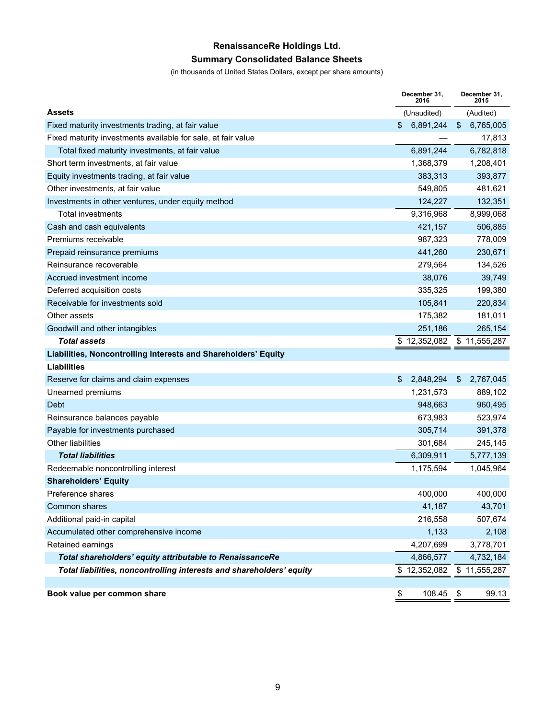## **RenaissanceRe Holdings Ltd. Summary Consolidated Balance Sheets**

(in thousands of United States Dollars, except per share amounts)

|                                                                      | December 31.<br>2016 | December 31,<br>2015 |
|----------------------------------------------------------------------|----------------------|----------------------|
| <b>Assets</b>                                                        | (Unaudited)          | (Audited)            |
| Fixed maturity investments trading, at fair value                    | \$<br>6,891,244      | 6,765,005<br>\$      |
| Fixed maturity investments available for sale, at fair value         |                      | 17,813               |
| Total fixed maturity investments, at fair value                      | 6,891,244            | 6,782,818            |
| Short term investments, at fair value                                | 1,368,379            | 1,208,401            |
| Equity investments trading, at fair value                            | 383,313              | 393,877              |
| Other investments, at fair value                                     | 549,805              | 481,621              |
| Investments in other ventures, under equity method                   | 124,227              | 132,351              |
| <b>Total investments</b>                                             | 9,316,968            | 8,999,068            |
| Cash and cash equivalents                                            | 421,157              | 506,885              |
| Premiums receivable                                                  | 987,323              | 778,009              |
| Prepaid reinsurance premiums                                         | 441,260              | 230,671              |
| Reinsurance recoverable                                              | 279,564              | 134,526              |
| Accrued investment income                                            | 38,076               | 39,749               |
| Deferred acquisition costs                                           | 335,325              | 199,380              |
| Receivable for investments sold                                      | 105,841              | 220,834              |
| Other assets                                                         | 175,382              | 181,011              |
| Goodwill and other intangibles                                       | 251,186              | 265,154              |
| <b>Total assets</b>                                                  | 12,352,082<br>\$     | \$11,555,287         |
| Liabilities, Noncontrolling Interests and Shareholders' Equity       |                      |                      |
| <b>Liabilities</b>                                                   |                      |                      |
| Reserve for claims and claim expenses                                | 2,848,294<br>\$      | \$<br>2,767,045      |
| Unearned premiums                                                    | 1,231,573            | 889,102              |
| Debt                                                                 | 948,663              | 960,495              |
| Reinsurance balances payable                                         | 673,983              | 523,974              |
| Payable for investments purchased                                    | 305,714              | 391,378              |
| <b>Other liabilities</b>                                             | 301,684              | 245,145              |
| <b>Total liabilities</b>                                             | 6,309,911            | 5,777,139            |
| Redeemable noncontrolling interest                                   | 1,175,594            | 1,045,964            |
| <b>Shareholders' Equity</b>                                          |                      |                      |
| Preference shares                                                    | 400,000              | 400,000              |
| Common shares                                                        | 41,187               | 43,701               |
| Additional paid-in capital                                           | 216,558              | 507,674              |
| Accumulated other comprehensive income                               | 1,133                | 2,108                |
| Retained earnings                                                    | 4,207,699            | 3,778,701            |
| Total shareholders' equity attributable to RenaissanceRe             | 4,866,577            | 4,732,184            |
| Total liabilities, noncontrolling interests and shareholders' equity | \$12,352,082         | \$11,555,287         |
|                                                                      |                      |                      |
| Book value per common share                                          | \$<br>108.45         | 99.13<br>\$          |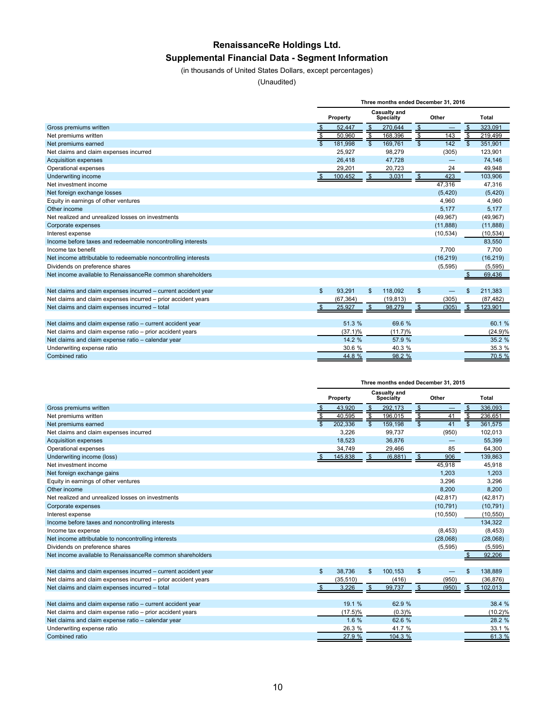# **RenaissanceRe Holdings Ltd. Supplemental Financial Data - Segment Information**

(in thousands of United States Dollars, except percentages)

(Unaudited)

|                                                                |               |            |                          |                                  |                         | Three months ended December 31, 2016 |                          |              |  |
|----------------------------------------------------------------|---------------|------------|--------------------------|----------------------------------|-------------------------|--------------------------------------|--------------------------|--------------|--|
|                                                                |               | Property   |                          | Casualty and<br><b>Specialty</b> |                         | Other                                |                          | <b>Total</b> |  |
| Gross premiums written                                         |               | 52,447     | $\mathfrak{F}$           | 270,644                          | $\frac{1}{2}$           |                                      | \$                       | 323.091      |  |
| Net premiums written                                           | $\frac{3}{9}$ | 50.960     | $\overline{\mathcal{S}}$ | 168.396                          | \$                      | 143                                  | $\overline{\mathcal{S}}$ | 219,499      |  |
| Net premiums earned                                            |               | 181.998    | $\overline{\mathcal{S}}$ | 169,761                          | $\overline{\mathbb{S}}$ | 142                                  | $\overline{\mathbf{s}}$  | 351,901      |  |
| Net claims and claim expenses incurred                         |               | 25.927     |                          | 98,279                           |                         | (305)                                |                          | 123,901      |  |
| <b>Acquisition expenses</b>                                    |               | 26,418     |                          | 47,728                           |                         |                                      |                          | 74,146       |  |
| Operational expenses                                           |               | 29,201     |                          | 20,723                           |                         | 24                                   |                          | 49,948       |  |
| Underwriting income                                            |               | 100,452    | $\frac{1}{2}$            | 3,031                            | $\sqrt[6]{3}$           | 423                                  |                          | 103,906      |  |
| Net investment income                                          |               |            |                          |                                  |                         | 47,316                               |                          | 47,316       |  |
| Net foreign exchange losses                                    |               |            |                          |                                  |                         | (5, 420)                             |                          | (5,420)      |  |
| Equity in earnings of other ventures                           |               |            |                          |                                  |                         | 4,960                                |                          | 4,960        |  |
| Other income                                                   |               |            |                          |                                  |                         | 5.177                                |                          | 5.177        |  |
| Net realized and unrealized losses on investments              |               |            |                          |                                  |                         | (49, 967)                            |                          | (49, 967)    |  |
| Corporate expenses                                             |               |            |                          |                                  |                         | (11, 888)                            |                          | (11, 888)    |  |
| Interest expense                                               |               |            |                          |                                  |                         | (10, 534)                            |                          | (10, 534)    |  |
| Income before taxes and redeemable noncontrolling interests    |               |            |                          |                                  |                         |                                      |                          | 83,550       |  |
| Income tax benefit                                             |               |            |                          |                                  |                         | 7.700                                |                          | 7,700        |  |
| Net income attributable to redeemable noncontrolling interests |               |            |                          |                                  |                         | (16, 219)                            |                          | (16, 219)    |  |
| Dividends on preference shares                                 |               |            |                          |                                  |                         | (5, 595)                             |                          | (5, 595)     |  |
| Net income available to RenaissanceRe common shareholders      |               |            |                          |                                  |                         |                                      |                          | 69,436       |  |
|                                                                |               |            |                          |                                  |                         |                                      |                          |              |  |
| Net claims and claim expenses incurred - current accident year | \$            | 93.291     | $\mathfrak{S}$           | 118,092                          | \$                      |                                      | \$                       | 211,383      |  |
| Net claims and claim expenses incurred - prior accident years  |               | (67, 364)  |                          | (19, 813)                        |                         | (305)                                |                          | (87, 482)    |  |
| Net claims and claim expenses incurred - total                 | \$            | 25,927     | $\mathfrak{s}$           | 98,279                           | \$                      | (305)                                | $\mathfrak{s}$           | 123,901      |  |
|                                                                |               |            |                          |                                  |                         |                                      |                          |              |  |
| Net claims and claim expense ratio - current accident year     |               | 51.3 %     |                          | 69.6 %                           |                         |                                      |                          | 60.1%        |  |
| Net claims and claim expense ratio - prior accident years      |               | $(37.1)\%$ |                          | (11.7)%                          |                         |                                      |                          | (24.9)%      |  |
| Net claims and claim expense ratio - calendar year             |               | 14.2 %     |                          | 57.9 %                           |                         |                                      |                          | 35.2 %       |  |
| Underwriting expense ratio                                     |               | 30.6 %     |                          | 40.3 %                           |                         |                                      |                          | 35.3 %       |  |
| Combined ratio                                                 |               | 44.8%      |                          | 98.2 %                           |                         |                                      |                          | 70.5 %       |  |

|                                                                |                          |                                       |                          | Three months ended December 31, 2015 |                 |           |                         |              |
|----------------------------------------------------------------|--------------------------|---------------------------------------|--------------------------|--------------------------------------|-----------------|-----------|-------------------------|--------------|
|                                                                |                          | Casualty and<br>Property<br>Specialty |                          |                                      |                 | Other     |                         | <b>Total</b> |
| Gross premiums written                                         | \$                       | 43,920                                | $\sqrt[6]{3}$            | 292.173                              | $\sqrt[6]{3}$   |           | \$                      | 336.093      |
| Net premiums written                                           | $\overline{\mathcal{S}}$ | 40.595                                | ङ                        | 196,015                              | $\overline{\$}$ | 41        | $\overline{\mathbf{s}}$ | 236,651      |
| Net premiums earned                                            | $\overline{s}$           | 202,336                               | $\overline{\mathcal{S}}$ | 159,198                              |                 | 41        | $\overline{\mathbf{s}}$ | 361.575      |
| Net claims and claim expenses incurred                         |                          | 3,226                                 |                          | 99,737                               |                 | (950)     |                         | 102,013      |
| <b>Acquisition expenses</b>                                    |                          | 18,523                                |                          | 36,876                               |                 |           |                         | 55,399       |
| Operational expenses                                           |                          | 34,749                                |                          | 29,466                               |                 | 85        |                         | 64,300       |
| Underwriting income (loss)                                     | \$                       | 145,838                               | $\mathfrak{s}$           | (6, 881)                             | $\frac{1}{2}$   | 906       |                         | 139,863      |
| Net investment income                                          |                          |                                       |                          |                                      |                 | 45,918    |                         | 45,918       |
| Net foreign exchange gains                                     |                          |                                       |                          |                                      |                 | 1.203     |                         | 1.203        |
| Equity in earnings of other ventures                           |                          |                                       |                          |                                      |                 | 3.296     |                         | 3.296        |
| Other income                                                   |                          |                                       |                          |                                      |                 | 8,200     |                         | 8,200        |
| Net realized and unrealized losses on investments              |                          |                                       |                          |                                      |                 | (42, 817) |                         | (42, 817)    |
| Corporate expenses                                             |                          |                                       |                          |                                      |                 | (10, 791) |                         | (10, 791)    |
| Interest expense                                               |                          |                                       |                          |                                      |                 | (10, 550) |                         | (10, 550)    |
| Income before taxes and noncontrolling interests               |                          |                                       |                          |                                      |                 |           |                         | 134.322      |
| Income tax expense                                             |                          |                                       |                          |                                      |                 | (8, 453)  |                         | (8, 453)     |
| Net income attributable to noncontrolling interests            |                          |                                       |                          |                                      |                 | (28,068)  |                         | (28,068)     |
| Dividends on preference shares                                 |                          |                                       |                          |                                      |                 | (5,595)   |                         | (5, 595)     |
| Net income available to RenaissanceRe common shareholders      |                          |                                       |                          |                                      |                 |           |                         | 92.206       |
|                                                                |                          |                                       |                          |                                      |                 |           |                         |              |
| Net claims and claim expenses incurred - current accident year | $\mathfrak{S}$           | 38,736                                | \$                       | 100.153                              | $\sqrt[6]{3}$   |           | \$                      | 138,889      |
| Net claims and claim expenses incurred - prior accident years  |                          | (35, 510)                             |                          | (416)                                |                 | (950)     |                         | (36, 876)    |
| Net claims and claim expenses incurred - total                 |                          | 3.226                                 | \$                       | 99.737                               | \$              | (950)     | \$                      | 102,013      |
|                                                                |                          |                                       |                          |                                      |                 |           |                         |              |
| Net claims and claim expense ratio - current accident year     |                          | 19.1 %                                |                          | 62.9 %                               |                 |           |                         | 38.4 %       |
| Net claims and claim expense ratio - prior accident years      |                          | $(17.5)\%$                            |                          | (0.3)%                               |                 |           |                         | (10.2)%      |
| Net claims and claim expense ratio - calendar year             |                          | 1.6%                                  |                          | 62.6 %                               |                 |           |                         | 28.2 %       |
| Underwriting expense ratio                                     |                          | 26.3 %                                |                          | 41.7 %                               |                 |           |                         | 33.1 %       |
| Combined ratio                                                 |                          | 27.9 %                                |                          | 104.3 %                              |                 |           |                         | 61.3 %       |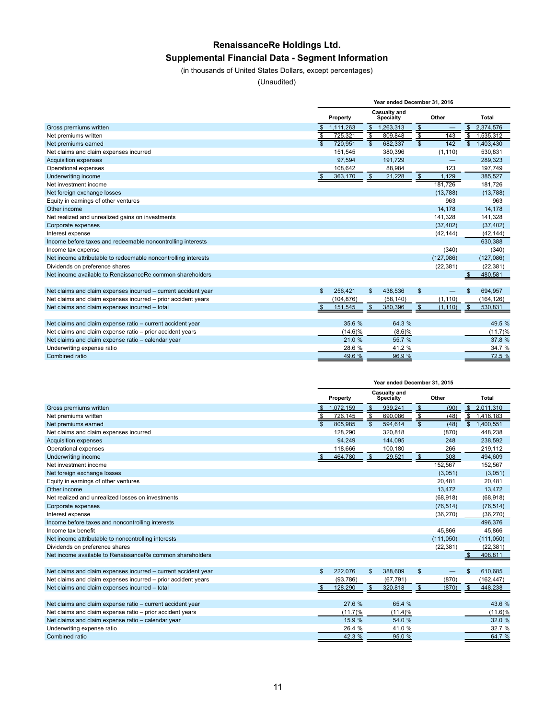# **RenaissanceRe Holdings Ltd. Supplemental Financial Data - Segment Information**

(in thousands of United States Dollars, except percentages)

(Unaudited)

|                                                                |                         |            |                          | Year ended December 31, 2016     |                          |           |                         |              |
|----------------------------------------------------------------|-------------------------|------------|--------------------------|----------------------------------|--------------------------|-----------|-------------------------|--------------|
|                                                                |                         | Property   |                          | Casualty and<br><b>Specialty</b> |                          | Other     |                         | <b>Total</b> |
| Gross premiums written                                         |                         | 1,111,263  | \$                       | 1,263,313                        | $\frac{1}{2}$            |           | \$                      | 2,374,576    |
| Net premiums written                                           | s                       | 725,321    | $\overline{\mathcal{S}}$ | 809.848                          | $\overline{\mathcal{L}}$ | 143       | \$                      | 1,535,312    |
| Net premiums earned                                            | $\overline{\mathbf{s}}$ | 720.951    | $\overline{\mathbf{s}}$  | 682,337                          | $\overline{\mathbb{S}}$  | 142       | $\overline{\mathbf{s}}$ | 1,403,430    |
| Net claims and claim expenses incurred                         |                         | 151.545    |                          | 380,396                          |                          | (1, 110)  |                         | 530,831      |
| <b>Acquisition expenses</b>                                    |                         | 97.594     |                          | 191.729                          |                          |           |                         | 289,323      |
| Operational expenses                                           |                         | 108,642    |                          | 88,984                           |                          | 123       |                         | 197,749      |
| Underwriting income                                            | \$                      | 363,170    | $\mathfrak{s}$           | 21,228                           | $\frac{1}{2}$            | 1,129     |                         | 385,527      |
| Net investment income                                          |                         |            |                          |                                  |                          | 181.726   |                         | 181,726      |
| Net foreign exchange losses                                    |                         |            |                          |                                  |                          | (13,788)  |                         | (13,788)     |
| Equity in earnings of other ventures                           |                         |            |                          |                                  |                          | 963       |                         | 963          |
| Other income                                                   |                         |            |                          |                                  |                          | 14.178    |                         | 14.178       |
| Net realized and unrealized gains on investments               |                         |            |                          |                                  |                          | 141.328   |                         | 141,328      |
| Corporate expenses                                             |                         |            |                          |                                  |                          | (37, 402) |                         | (37, 402)    |
| Interest expense                                               |                         |            |                          |                                  |                          | (42, 144) |                         | (42, 144)    |
| Income before taxes and redeemable noncontrolling interests    |                         |            |                          |                                  |                          |           |                         | 630,388      |
| Income tax expense                                             |                         |            |                          |                                  |                          | (340)     |                         | (340)        |
| Net income attributable to redeemable noncontrolling interests |                         |            |                          |                                  |                          | (127,086) |                         | (127,086)    |
| Dividends on preference shares                                 |                         |            |                          |                                  |                          | (22, 381) |                         | (22, 381)    |
| Net income available to RenaissanceRe common shareholders      |                         |            |                          |                                  |                          |           |                         | 480,581      |
|                                                                |                         |            |                          |                                  |                          |           |                         |              |
| Net claims and claim expenses incurred - current accident year | $\mathfrak{S}$          | 256.421    | \$                       | 438,536                          | \$                       |           |                         | 694,957      |
| Net claims and claim expenses incurred - prior accident years  |                         | (104, 876) |                          | (58, 140)                        |                          | (1, 110)  |                         | (164, 126)   |
| Net claims and claim expenses incurred - total                 | \$                      | 151,545    | \$                       | 380,396                          | \$                       | (1, 110)  | $\mathbf{s}$            | 530,831      |
|                                                                |                         |            |                          |                                  |                          |           |                         |              |
| Net claims and claim expense ratio - current accident year     |                         | 35.6 %     |                          | 64.3 %                           |                          |           |                         | 49.5 %       |
| Net claims and claim expense ratio - prior accident years      |                         | $(14.6)\%$ |                          | $(8.6)$ %                        |                          |           |                         | (11.7)%      |
| Net claims and claim expense ratio - calendar year             |                         | 21.0 %     |                          | 55.7 %                           |                          |           |                         | 37.8 %       |
| Underwriting expense ratio                                     |                         | 28.6 %     |                          | 41.2 %                           |                          |           |                         | 34.7 %       |
| Combined ratio                                                 |                         | 49.6 %     |                          | 96.9 %                           |                          |           |                         | 72.5 %       |

|                                                                | Year ended December 31, 2015 |           |                          |                           |                         |           |                           |              |  |
|----------------------------------------------------------------|------------------------------|-----------|--------------------------|---------------------------|-------------------------|-----------|---------------------------|--------------|--|
|                                                                |                              | Property  |                          | Casualty and<br>Specialty |                         | Other     |                           | <b>Total</b> |  |
| Gross premiums written                                         |                              | 1,072,159 | \$                       | 939,241                   | $\frac{1}{2}$           | (90)      | \$                        | 2,011,310    |  |
| Net premiums written                                           | $\overline{\mathcal{L}}$     | 726.145   | $\overline{\mathcal{S}}$ | 690,086                   | \$                      | (48)      | $\overline{\mathbb{S}}$   | 1,416,183    |  |
| Net premiums earned                                            | $\overline{\mathbb{S}}$      | 805,985   | $\overline{\mathsf{s}}$  | 594,614                   | $\overline{\mathbf{s}}$ | (48)      | $\overline{\mathbb{S}}$   | 1,400,551    |  |
| Net claims and claim expenses incurred                         |                              | 128,290   |                          | 320,818                   |                         | (870)     |                           | 448,238      |  |
| <b>Acquisition expenses</b>                                    |                              | 94.249    |                          | 144.095                   |                         | 248       |                           | 238.592      |  |
| Operational expenses                                           |                              | 118,666   |                          | 100,180                   |                         | 266       |                           | 219,112      |  |
| Underwriting income                                            | <u>\$</u>                    | 464,780   | \$                       | 29,521                    | $\frac{1}{2}$           | 308       |                           | 494.609      |  |
| Net investment income                                          |                              |           |                          |                           |                         | 152,567   |                           | 152,567      |  |
| Net foreign exchange losses                                    |                              |           |                          |                           |                         | (3,051)   |                           | (3,051)      |  |
| Equity in earnings of other ventures                           |                              |           |                          |                           |                         | 20,481    |                           | 20,481       |  |
| Other income                                                   |                              |           |                          |                           |                         | 13.472    |                           | 13,472       |  |
| Net realized and unrealized losses on investments              |                              |           |                          |                           |                         | (68, 918) |                           | (68, 918)    |  |
| Corporate expenses                                             |                              |           |                          |                           |                         | (76, 514) |                           | (76, 514)    |  |
| Interest expense                                               |                              |           |                          |                           |                         | (36, 270) |                           | (36, 270)    |  |
| Income before taxes and noncontrolling interests               |                              |           |                          |                           |                         |           |                           | 496,376      |  |
| Income tax benefit                                             |                              |           |                          |                           |                         | 45.866    |                           | 45.866       |  |
| Net income attributable to noncontrolling interests            |                              |           |                          |                           |                         | (111,050) |                           | (111,050)    |  |
| Dividends on preference shares                                 |                              |           |                          |                           |                         | (22, 381) |                           | (22, 381)    |  |
| Net income available to RenaissanceRe common shareholders      |                              |           |                          |                           |                         |           |                           | 408,811      |  |
|                                                                |                              |           |                          |                           |                         |           |                           |              |  |
| Net claims and claim expenses incurred - current accident year | \$                           | 222,076   | \$                       | 388,609                   | \$                      |           | \$                        | 610,685      |  |
| Net claims and claim expenses incurred - prior accident years  |                              | (93, 786) |                          | (67.791)                  |                         | (870)     |                           | (162, 447)   |  |
| Net claims and claim expenses incurred - total                 | \$                           | 128,290   | $\mathfrak{S}$           | 320,818                   | \$                      | (870)     | $\boldsymbol{\mathsf{s}}$ | 448,238      |  |
|                                                                |                              |           |                          |                           |                         |           |                           |              |  |
| Net claims and claim expense ratio - current accident year     |                              | 27.6 %    |                          | 65.4 %                    |                         |           |                           | 43.6 %       |  |
| Net claims and claim expense ratio - prior accident years      |                              | (11.7)%   |                          | (11.4)%                   |                         |           |                           | (11.6)%      |  |
| Net claims and claim expense ratio - calendar year             |                              | 15.9 %    |                          | 54.0 %                    |                         |           |                           | 32.0 %       |  |
| Underwriting expense ratio                                     |                              | 26.4 %    |                          | 41.0 %                    |                         |           |                           | 32.7 %       |  |
| Combined ratio                                                 |                              | 42.3 %    |                          | 95.0 %                    |                         |           |                           | 64.7%        |  |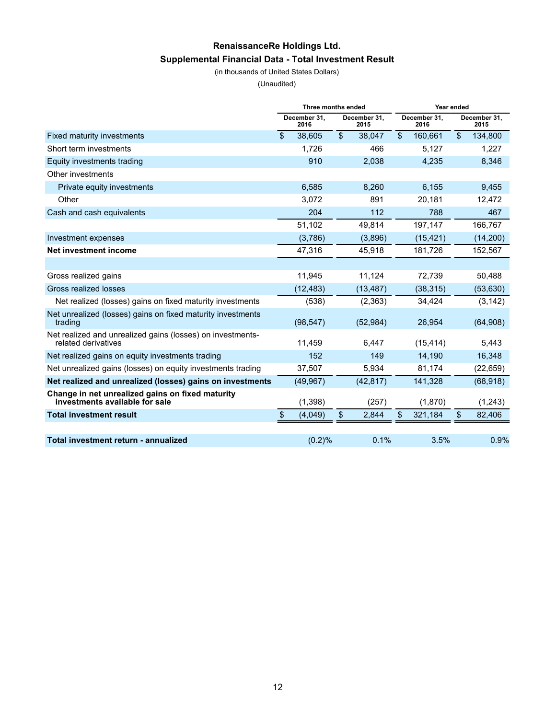# **RenaissanceRe Holdings Ltd. Supplemental Financial Data - Total Investment Result**

(in thousands of United States Dollars)

(Unaudited)

|                                                                                    | Three months ended   |                |                      | Year ended     |                      |    |                      |
|------------------------------------------------------------------------------------|----------------------|----------------|----------------------|----------------|----------------------|----|----------------------|
|                                                                                    | December 31.<br>2016 |                | December 31.<br>2015 |                | December 31.<br>2016 |    | December 31,<br>2015 |
| Fixed maturity investments                                                         | \$<br>38,605         | $\mathfrak{L}$ | 38,047               | $\mathfrak{L}$ | 160,661              | \$ | 134,800              |
| Short term investments                                                             | 1,726                |                | 466                  |                | 5,127                |    | 1,227                |
| Equity investments trading                                                         | 910                  |                | 2,038                |                | 4,235                |    | 8,346                |
| Other investments                                                                  |                      |                |                      |                |                      |    |                      |
| Private equity investments                                                         | 6,585                |                | 8,260                |                | 6,155                |    | 9,455                |
| Other                                                                              | 3,072                |                | 891                  |                | 20.181               |    | 12,472               |
| Cash and cash equivalents                                                          | 204                  |                | 112                  |                | 788                  |    | 467                  |
|                                                                                    | 51,102               |                | 49,814               |                | 197,147              |    | 166,767              |
| Investment expenses                                                                | (3,786)              |                | (3,896)              |                | (15, 421)            |    | (14, 200)            |
| Net investment income                                                              | 47,316               |                | 45,918               |                | 181,726              |    | 152,567              |
|                                                                                    |                      |                |                      |                |                      |    |                      |
| Gross realized gains                                                               | 11.945               |                | 11,124               |                | 72.739               |    | 50,488               |
| Gross realized losses                                                              | (12, 483)            |                | (13, 487)            |                | (38, 315)            |    | (53, 630)            |
| Net realized (losses) gains on fixed maturity investments                          | (538)                |                | (2,363)              |                | 34,424               |    | (3, 142)             |
| Net unrealized (losses) gains on fixed maturity investments<br>trading             | (98, 547)            |                | (52, 984)            |                | 26,954               |    | (64,908)             |
| Net realized and unrealized gains (losses) on investments-<br>related derivatives  | 11,459               |                | 6.447                |                | (15, 414)            |    | 5,443                |
| Net realized gains on equity investments trading                                   | 152                  |                | 149                  |                | 14,190               |    | 16,348               |
| Net unrealized gains (losses) on equity investments trading                        | 37,507               |                | 5.934                |                | 81,174               |    | (22, 659)            |
| Net realized and unrealized (losses) gains on investments                          | (49, 967)            |                | (42, 817)            |                | 141,328              |    | (68, 918)            |
| Change in net unrealized gains on fixed maturity<br>investments available for sale | (1, 398)             |                | (257)                |                | (1,870)              |    | (1,243)              |
| <b>Total investment result</b>                                                     | \$<br>(4,049)        | \$             | 2,844                | \$             | 321,184              | \$ | 82,406               |
|                                                                                    |                      |                |                      |                |                      |    |                      |
| Total investment return - annualized                                               | (0.2)%               |                | 0.1%                 |                | 3.5%                 |    | 0.9%                 |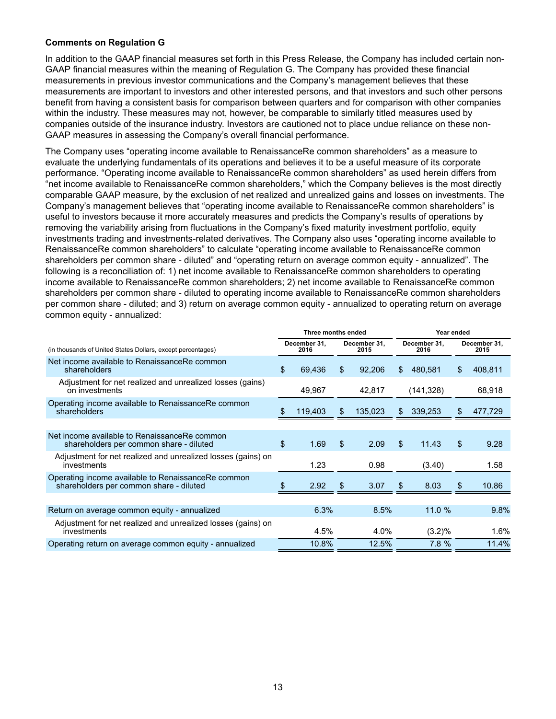#### **Comments on Regulation G**

In addition to the GAAP financial measures set forth in this Press Release, the Company has included certain non-GAAP financial measures within the meaning of Regulation G. The Company has provided these financial measurements in previous investor communications and the Company's management believes that these measurements are important to investors and other interested persons, and that investors and such other persons benefit from having a consistent basis for comparison between quarters and for comparison with other companies within the industry. These measures may not, however, be comparable to similarly titled measures used by companies outside of the insurance industry. Investors are cautioned not to place undue reliance on these non-GAAP measures in assessing the Company's overall financial performance.

The Company uses "operating income available to RenaissanceRe common shareholders" as a measure to evaluate the underlying fundamentals of its operations and believes it to be a useful measure of its corporate performance. "Operating income available to RenaissanceRe common shareholders" as used herein differs from "net income available to RenaissanceRe common shareholders," which the Company believes is the most directly comparable GAAP measure, by the exclusion of net realized and unrealized gains and losses on investments. The Company's management believes that "operating income available to RenaissanceRe common shareholders" is useful to investors because it more accurately measures and predicts the Company's results of operations by removing the variability arising from fluctuations in the Company's fixed maturity investment portfolio, equity investments trading and investments-related derivatives. The Company also uses "operating income available to RenaissanceRe common shareholders" to calculate "operating income available to RenaissanceRe common shareholders per common share - diluted" and "operating return on average common equity - annualized". The following is a reconciliation of: 1) net income available to RenaissanceRe common shareholders to operating income available to RenaissanceRe common shareholders; 2) net income available to RenaissanceRe common shareholders per common share - diluted to operating income available to RenaissanceRe common shareholders per common share - diluted; and 3) return on average common equity - annualized to operating return on average common equity - annualized:

|                                                                                               |    | Three months ended   |    |                      |                      | Year ended |                |                      |
|-----------------------------------------------------------------------------------------------|----|----------------------|----|----------------------|----------------------|------------|----------------|----------------------|
| (in thousands of United States Dollars, except percentages)                                   |    | December 31.<br>2016 |    | December 31.<br>2015 | December 31.<br>2016 |            |                | December 31,<br>2015 |
| Net income available to RenaissanceRe common<br>shareholders                                  | \$ | 69,436               | \$ | 92,206               | \$.                  | 480,581    | $\mathfrak{L}$ | 408,811              |
| Adjustment for net realized and unrealized losses (gains)<br>on investments                   |    | 49,967               |    | 42,817               |                      | (141, 328) |                | 68,918               |
| Operating income available to RenaissanceRe common<br>shareholders                            | Ж  | 119,403              | S. | 135,023              | \$.                  | 339,253    | \$             | 477,729              |
|                                                                                               |    |                      |    |                      |                      |            |                |                      |
| Net income available to RenaissanceRe common<br>shareholders per common share - diluted       | \$ | 1.69                 | \$ | 2.09                 | \$                   | 11.43      | \$             | 9.28                 |
| Adjustment for net realized and unrealized losses (gains) on<br>investments                   |    | 1.23                 |    | 0.98                 |                      | (3.40)     |                | 1.58                 |
| Operating income available to RenaissanceRe common<br>shareholders per common share - diluted |    | 2.92                 | S. | 3.07                 | \$.                  | 8.03       | \$             | 10.86                |
|                                                                                               |    |                      |    |                      |                      |            |                |                      |
| Return on average common equity - annualized                                                  |    | 6.3%                 |    | 8.5%                 |                      | 11.0%      |                | 9.8%                 |
| Adjustment for net realized and unrealized losses (gains) on<br>investments                   |    | 4.5%                 |    | 4.0%                 |                      | (3.2)%     |                | 1.6%                 |
| Operating return on average common equity - annualized                                        |    | 10.8%                |    | 12.5%                |                      | 7.8%       |                | 11.4%                |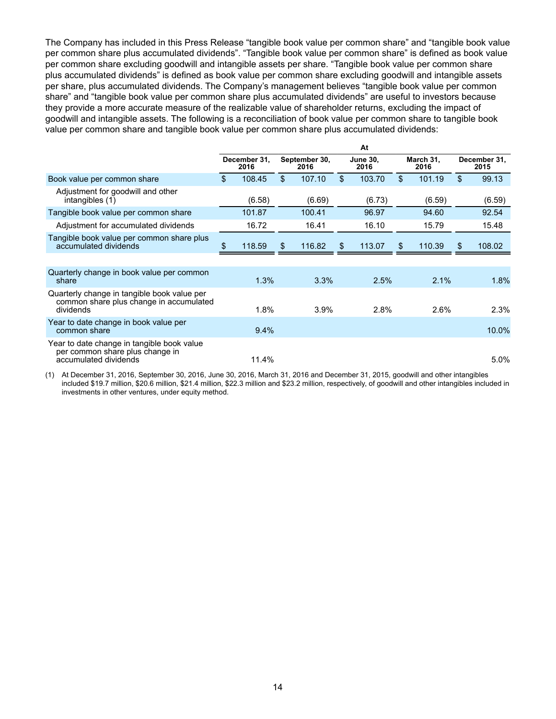The Company has included in this Press Release "tangible book value per common share" and "tangible book value per common share plus accumulated dividends". "Tangible book value per common share" is defined as book value per common share excluding goodwill and intangible assets per share. "Tangible book value per common share plus accumulated dividends" is defined as book value per common share excluding goodwill and intangible assets per share, plus accumulated dividends. The Company's management believes "tangible book value per common share" and "tangible book value per common share plus accumulated dividends" are useful to investors because they provide a more accurate measure of the realizable value of shareholder returns, excluding the impact of goodwill and intangible assets. The following is a reconciliation of book value per common share to tangible book value per common share and tangible book value per common share plus accumulated dividends:

|                                                                                                        |     |                      |                       |     | At                      |                |                   |     |                      |
|--------------------------------------------------------------------------------------------------------|-----|----------------------|-----------------------|-----|-------------------------|----------------|-------------------|-----|----------------------|
|                                                                                                        |     | December 31.<br>2016 | September 30,<br>2016 |     | <b>June 30.</b><br>2016 |                | March 31,<br>2016 |     | December 31,<br>2015 |
| Book value per common share                                                                            | \$  | 108.45               | \$<br>107.10          | \$  | 103.70                  | $\mathfrak{L}$ | 101.19            | \$  | 99.13                |
| Adjustment for goodwill and other<br>intangibles (1)                                                   |     | (6.58)               | (6.69)                |     | (6.73)                  |                | (6.59)            |     | (6.59)               |
| Tangible book value per common share                                                                   |     | 101.87               | 100.41                |     | 96.97                   |                | 94.60             |     | 92.54                |
| Adjustment for accumulated dividends                                                                   |     | 16.72                | 16.41                 |     | 16.10                   |                | 15.79             |     | 15.48                |
| Tangible book value per common share plus<br>accumulated dividends                                     | \$. | 118.59               | \$<br>116.82          | \$. | 113.07                  | S              | 110.39            | \$. | 108.02               |
|                                                                                                        |     |                      |                       |     |                         |                |                   |     |                      |
| Quarterly change in book value per common<br>share                                                     |     | 1.3%                 | 3.3%                  |     | 2.5%                    |                | 2.1%              |     | 1.8%                 |
| Quarterly change in tangible book value per<br>common share plus change in accumulated<br>dividends    |     | 1.8%                 | 3.9%                  |     | 2.8%                    |                | 2.6%              |     | 2.3%                 |
| Year to date change in book value per<br>common share                                                  |     | 9.4%                 |                       |     |                         |                |                   |     | 10.0%                |
| Year to date change in tangible book value<br>per common share plus change in<br>accumulated dividends |     | 11.4%                |                       |     |                         |                |                   |     | $5.0\%$              |

(1) At December 31, 2016, September 30, 2016, June 30, 2016, March 31, 2016 and December 31, 2015, goodwill and other intangibles included \$19.7 million, \$20.6 million, \$21.4 million, \$22.3 million and \$23.2 million, respectively, of goodwill and other intangibles included in investments in other ventures, under equity method.